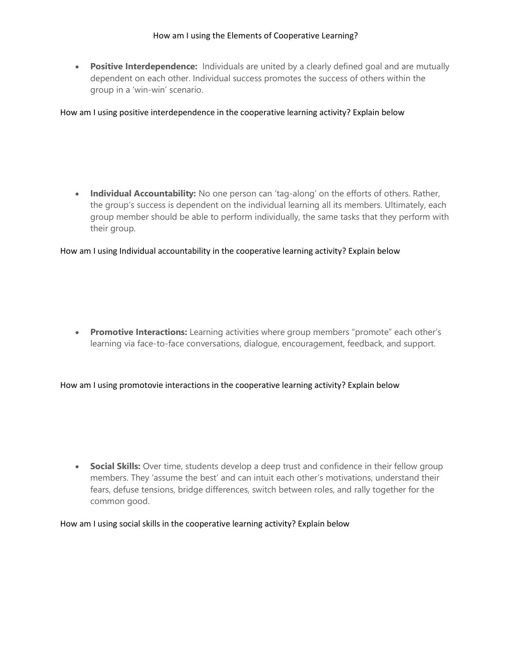• Positive Interdependence: Individuals are united by a clearly defined goal and are mutually dependent on each other. Individual success promotes the success of others within the group in a 'win-win' scenario.

How am I using positive interdependence in the cooperative learning activity? Explain below

• Individual Accountability: No one person can 'tag-along' on the efforts of others. Rather, the group's success is dependent on the individual learning all its members. Ultimately, each group member should be able to perform individually, the same tasks that they perform with their group.

How am I using Individual accountability in the cooperative learning activity? Explain below

• Promotive Interactions: Learning activities where group members "promote" each other's learning via face-to-face conversations, dialogue, encouragement, feedback, and support.

How am I using promotovie interactions in the cooperative learning activity? Explain below

• Social Skills: Over time, students develop a deep trust and confidence in their fellow group members. They 'assume the best' and can intuit each other's motivations, understand their fears, defuse tensions, bridge differences, switch between roles, and rally together for the common good.

How am I using social skills in the cooperative learning activity? Explain below